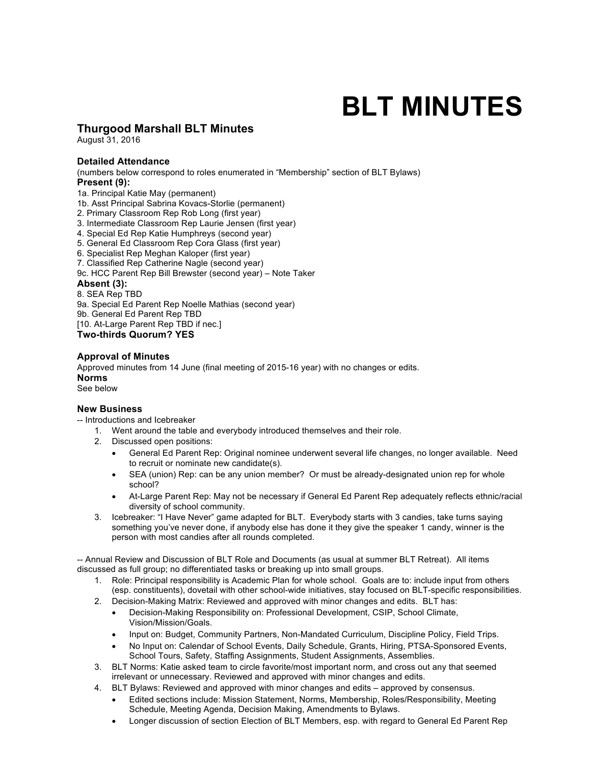# **BLT MINUTES**

# **Thurgood Marshall BLT Minutes**

August 31, 2016

#### **Detailed Attendance**

(numbers below correspond to roles enumerated in "Membership" section of BLT Bylaws) **Present (9):** 

1a. Principal Katie May (permanent)

1b. Asst Principal Sabrina Kovacs-Storlie (permanent)

- 2. Primary Classroom Rep Rob Long (first year)
- 3. Intermediate Classroom Rep Laurie Jensen (first year)
- 4. Special Ed Rep Katie Humphreys (second year)
- 5. General Ed Classroom Rep Cora Glass (first year)

6. Specialist Rep Meghan Kaloper (first year)

7. Classified Rep Catherine Nagle (second year)

9c. HCC Parent Rep Bill Brewster (second year) – Note Taker

#### **Absent (3):**

8. SEA Rep TBD

9a. Special Ed Parent Rep Noelle Mathias (second year)

9b. General Ed Parent Rep TBD

[10. At-Large Parent Rep TBD if nec.]

**Two-thirds Quorum? YES**

# **Approval of Minutes**

Approved minutes from 14 June (final meeting of 2015-16 year) with no changes or edits. **Norms**  See below

# **New Business**

-- Introductions and Icebreaker

- 1. Went around the table and everybody introduced themselves and their role.
- 2. Discussed open positions:
	- General Ed Parent Rep: Original nominee underwent several life changes, no longer available. Need to recruit or nominate new candidate(s).
	- SEA (union) Rep: can be any union member? Or must be already-designated union rep for whole school?
	- At-Large Parent Rep: May not be necessary if General Ed Parent Rep adequately reflects ethnic/racial diversity of school community.
- 3. Icebreaker: "I Have Never" game adapted for BLT. Everybody starts with 3 candies, take turns saying something you've never done, if anybody else has done it they give the speaker 1 candy, winner is the person with most candies after all rounds completed.

-- Annual Review and Discussion of BLT Role and Documents (as usual at summer BLT Retreat). All items discussed as full group; no differentiated tasks or breaking up into small groups.

- 1. Role: Principal responsibility is Academic Plan for whole school. Goals are to: include input from others (esp. constituents), dovetail with other school-wide initiatives, stay focused on BLT-specific responsibilities.
- 2. Decision-Making Matrix: Reviewed and approved with minor changes and edits. BLT has:
	- Decision-Making Responsibility on: Professional Development, CSIP, School Climate, Vision/Mission/Goals.
	- Input on: Budget, Community Partners, Non-Mandated Curriculum, Discipline Policy, Field Trips.
	- No Input on: Calendar of School Events, Daily Schedule, Grants, Hiring, PTSA-Sponsored Events, School Tours, Safety, Staffing Assignments, Student Assignments, Assemblies.
- 3. BLT Norms: Katie asked team to circle favorite/most important norm, and cross out any that seemed irrelevant or unnecessary. Reviewed and approved with minor changes and edits.
- 4. BLT Bylaws: Reviewed and approved with minor changes and edits approved by consensus.
	- Edited sections include: Mission Statement, Norms, Membership, Roles/Responsibility, Meeting Schedule, Meeting Agenda, Decision Making, Amendments to Bylaws.
	- Longer discussion of section Election of BLT Members, esp. with regard to General Ed Parent Rep